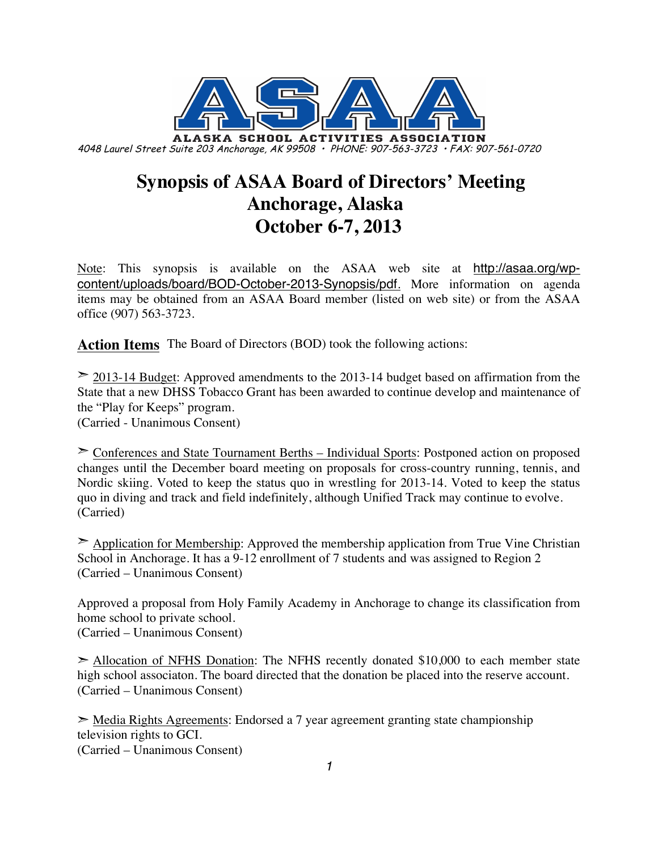

## **Synopsis of ASAA Board of Directors' Meeting Anchorage, Alaska October 6-7, 2013**

Note: This synopsis is available on the ASAA web site at http://asaa.org/wpcontent/uploads/board/BOD-October-2013-Synopsis/pdf. More information on agenda items may be obtained from an ASAA Board member (listed on web site) or from the ASAA office (907) 563-3723.

**Action Items** The Board of Directors (BOD) took the following actions:

➣ 2013-14 Budget: Approved amendments to the 2013-14 budget based on affirmation from the State that a new DHSS Tobacco Grant has been awarded to continue develop and maintenance of the "Play for Keeps" program.

(Carried - Unanimous Consent)

➣ Conferences and State Tournament Berths – Individual Sports: Postponed action on proposed changes until the December board meeting on proposals for cross-country running, tennis, and Nordic skiing. Voted to keep the status quo in wrestling for 2013-14. Voted to keep the status quo in diving and track and field indefinitely, although Unified Track may continue to evolve. (Carried)

 $\geq$  Application for Membership: Approved the membership application from True Vine Christian School in Anchorage. It has a 9-12 enrollment of 7 students and was assigned to Region 2 (Carried – Unanimous Consent)

Approved a proposal from Holy Family Academy in Anchorage to change its classification from home school to private school. (Carried – Unanimous Consent)

 $\geq$  Allocation of NFHS Donation: The NFHS recently donated \$10,000 to each member state high school associaton. The board directed that the donation be placed into the reserve account. (Carried – Unanimous Consent)

➣ Media Rights Agreements: Endorsed a 7 year agreement granting state championship television rights to GCI.

(Carried – Unanimous Consent)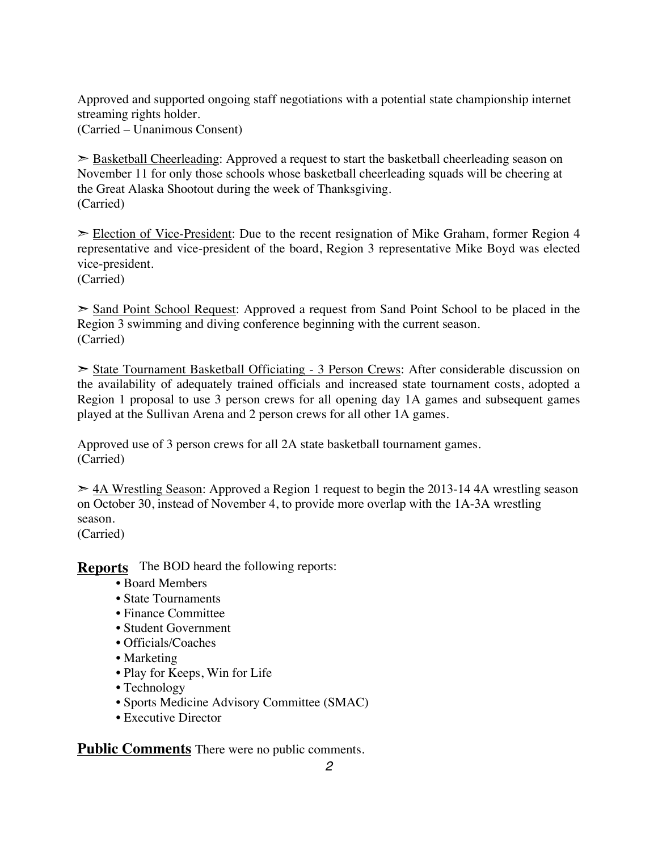Approved and supported ongoing staff negotiations with a potential state championship internet streaming rights holder.

(Carried – Unanimous Consent)

 $\geq$  Basketball Cheerleading: Approved a request to start the basketball cheerleading season on November 11 for only those schools whose basketball cheerleading squads will be cheering at the Great Alaska Shootout during the week of Thanksgiving. (Carried)

➣ Election of Vice-President: Due to the recent resignation of Mike Graham, former Region 4 representative and vice-president of the board, Region 3 representative Mike Boyd was elected vice-president.

(Carried)

➣ Sand Point School Request: Approved a request from Sand Point School to be placed in the Region 3 swimming and diving conference beginning with the current season. (Carried)

➣ State Tournament Basketball Officiating - 3 Person Crews: After considerable discussion on the availability of adequately trained officials and increased state tournament costs, adopted a Region 1 proposal to use 3 person crews for all opening day 1A games and subsequent games played at the Sullivan Arena and 2 person crews for all other 1A games.

Approved use of 3 person crews for all 2A state basketball tournament games. (Carried)

 $\geq$  4A Wrestling Season: Approved a Region 1 request to begin the 2013-14 4A wrestling season on October 30, instead of November 4, to provide more overlap with the 1A-3A wrestling season.

(Carried)

**Reports** The BOD heard the following reports:

- Board Members
- State Tournaments
- Finance Committee
- Student Government
- Officials/Coaches
- Marketing
- Play for Keeps, Win for Life
- Technology
- Sports Medicine Advisory Committee (SMAC)
- Executive Director

**Public Comments** There were no public comments.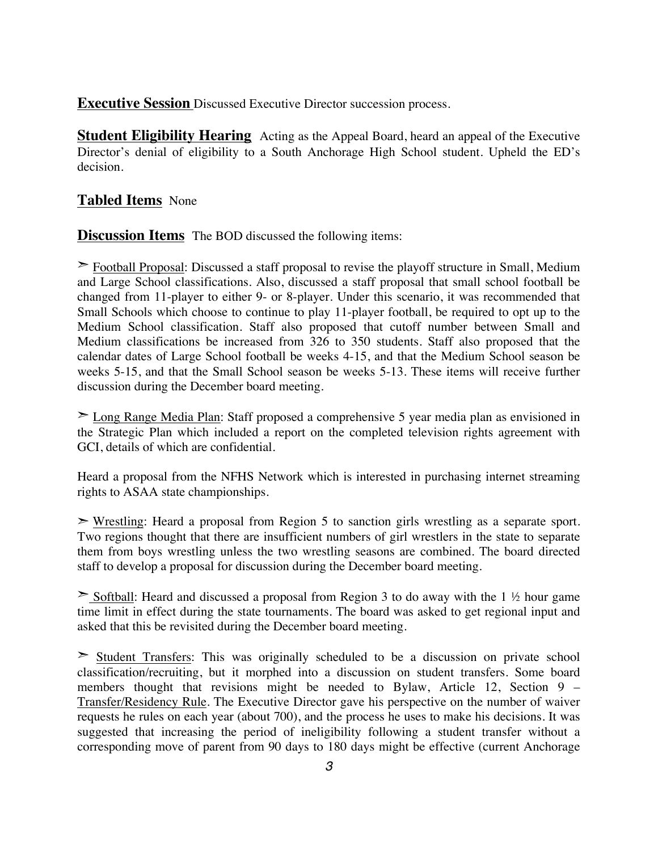**Executive Session** Discussed Executive Director succession process.

**Student Eligibility Hearing** Acting as the Appeal Board, heard an appeal of the Executive Director's denial of eligibility to a South Anchorage High School student. Upheld the ED's decision.

## **Tabled Items** None

**Discussion Items** The BOD discussed the following items:

➣ Football Proposal: Discussed a staff proposal to revise the playoff structure in Small, Medium and Large School classifications. Also, discussed a staff proposal that small school football be changed from 11-player to either 9- or 8-player. Under this scenario, it was recommended that Small Schools which choose to continue to play 11-player football, be required to opt up to the Medium School classification. Staff also proposed that cutoff number between Small and Medium classifications be increased from 326 to 350 students. Staff also proposed that the calendar dates of Large School football be weeks 4-15, and that the Medium School season be weeks 5-15, and that the Small School season be weeks 5-13. These items will receive further discussion during the December board meeting.

➣ Long Range Media Plan: Staff proposed a comprehensive 5 year media plan as envisioned in the Strategic Plan which included a report on the completed television rights agreement with GCI, details of which are confidential.

Heard a proposal from the NFHS Network which is interested in purchasing internet streaming rights to ASAA state championships.

➣ Wrestling: Heard a proposal from Region 5 to sanction girls wrestling as a separate sport. Two regions thought that there are insufficient numbers of girl wrestlers in the state to separate them from boys wrestling unless the two wrestling seasons are combined. The board directed staff to develop a proposal for discussion during the December board meeting.

 $\geq$  Softball: Heard and discussed a proposal from Region 3 to do away with the 1 ½ hour game time limit in effect during the state tournaments. The board was asked to get regional input and asked that this be revisited during the December board meeting.

 $\geq$  Student Transfers: This was originally scheduled to be a discussion on private school classification/recruiting, but it morphed into a discussion on student transfers. Some board members thought that revisions might be needed to Bylaw, Article 12, Section 9 – Transfer/Residency Rule. The Executive Director gave his perspective on the number of waiver requests he rules on each year (about 700), and the process he uses to make his decisions. It was suggested that increasing the period of ineligibility following a student transfer without a corresponding move of parent from 90 days to 180 days might be effective (current Anchorage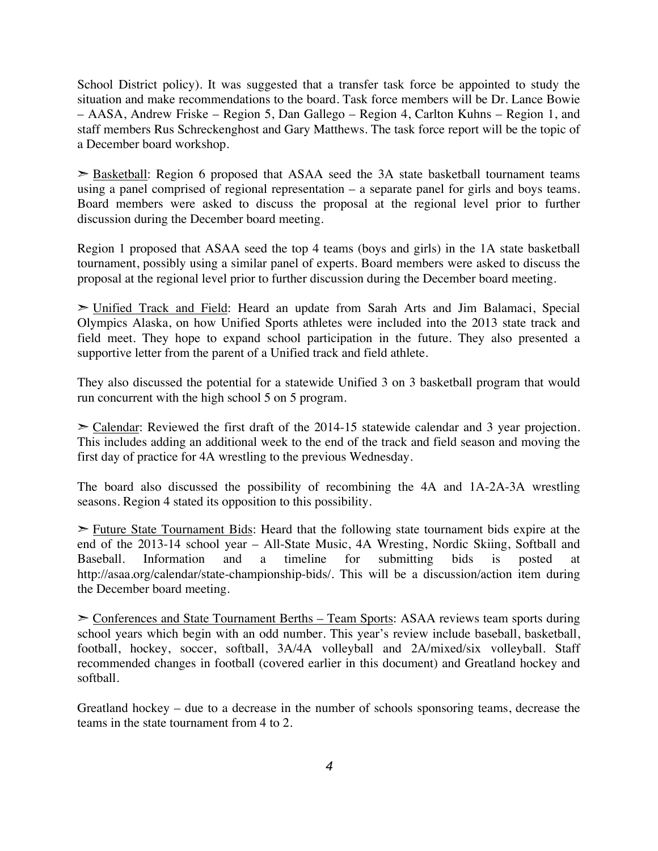School District policy). It was suggested that a transfer task force be appointed to study the situation and make recommendations to the board. Task force members will be Dr. Lance Bowie – AASA, Andrew Friske – Region 5, Dan Gallego – Region 4, Carlton Kuhns – Region 1, and staff members Rus Schreckenghost and Gary Matthews. The task force report will be the topic of a December board workshop.

 $\geq$  Basketball: Region 6 proposed that ASAA seed the 3A state basketball tournament teams using a panel comprised of regional representation – a separate panel for girls and boys teams. Board members were asked to discuss the proposal at the regional level prior to further discussion during the December board meeting.

Region 1 proposed that ASAA seed the top 4 teams (boys and girls) in the 1A state basketball tournament, possibly using a similar panel of experts. Board members were asked to discuss the proposal at the regional level prior to further discussion during the December board meeting.

➣ Unified Track and Field: Heard an update from Sarah Arts and Jim Balamaci, Special Olympics Alaska, on how Unified Sports athletes were included into the 2013 state track and field meet. They hope to expand school participation in the future. They also presented a supportive letter from the parent of a Unified track and field athlete.

They also discussed the potential for a statewide Unified 3 on 3 basketball program that would run concurrent with the high school 5 on 5 program.

 $\geq$  Calendar: Reviewed the first draft of the 2014-15 statewide calendar and 3 year projection. This includes adding an additional week to the end of the track and field season and moving the first day of practice for 4A wrestling to the previous Wednesday.

The board also discussed the possibility of recombining the 4A and 1A-2A-3A wrestling seasons. Region 4 stated its opposition to this possibility.

➣ Future State Tournament Bids: Heard that the following state tournament bids expire at the end of the 2013-14 school year – All-State Music, 4A Wresting, Nordic Skiing, Softball and Baseball. Information and a timeline for submitting bids is posted http://asaa.org/calendar/state-championship-bids/. This will be a discussion/action item during the December board meeting.

➣ Conferences and State Tournament Berths – Team Sports: ASAA reviews team sports during school years which begin with an odd number. This year's review include baseball, basketball, football, hockey, soccer, softball, 3A/4A volleyball and 2A/mixed/six volleyball. Staff recommended changes in football (covered earlier in this document) and Greatland hockey and softball.

Greatland hockey – due to a decrease in the number of schools sponsoring teams, decrease the teams in the state tournament from 4 to 2.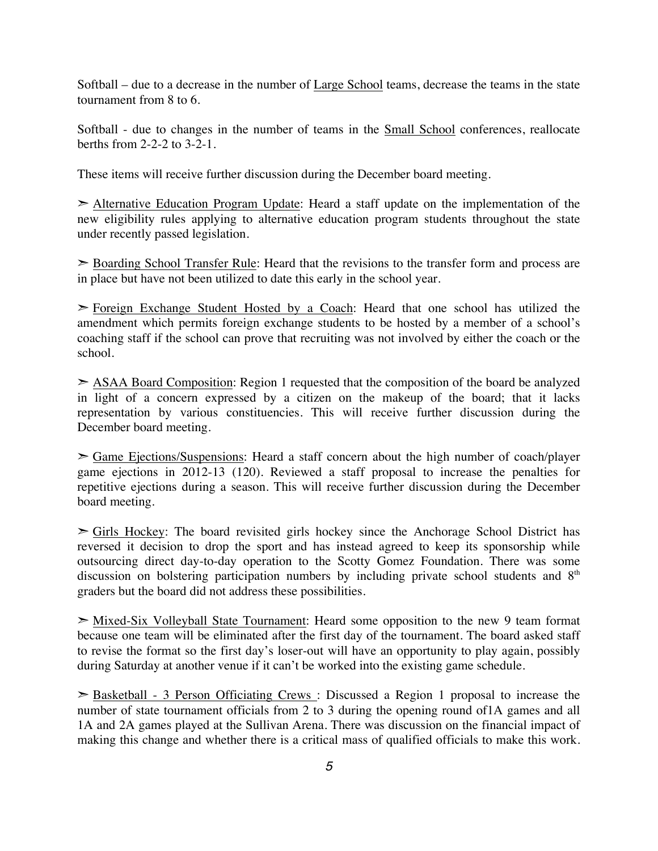Softball – due to a decrease in the number of Large School teams, decrease the teams in the state tournament from 8 to 6.

Softball - due to changes in the number of teams in the **Small School** conferences, reallocate berths from 2-2-2 to 3-2-1.

These items will receive further discussion during the December board meeting.

➣ Alternative Education Program Update: Heard a staff update on the implementation of the new eligibility rules applying to alternative education program students throughout the state under recently passed legislation.

➣ Boarding School Transfer Rule: Heard that the revisions to the transfer form and process are in place but have not been utilized to date this early in the school year.

 $\geq$  Foreign Exchange Student Hosted by a Coach: Heard that one school has utilized the amendment which permits foreign exchange students to be hosted by a member of a school's coaching staff if the school can prove that recruiting was not involved by either the coach or the school.

➣ ASAA Board Composition: Region 1 requested that the composition of the board be analyzed in light of a concern expressed by a citizen on the makeup of the board; that it lacks representation by various constituencies. This will receive further discussion during the December board meeting.

➣ Game Ejections/Suspensions: Heard a staff concern about the high number of coach/player game ejections in 2012-13 (120). Reviewed a staff proposal to increase the penalties for repetitive ejections during a season. This will receive further discussion during the December board meeting.

 $\ge$  Girls Hockey: The board revisited girls hockey since the Anchorage School District has reversed it decision to drop the sport and has instead agreed to keep its sponsorship while outsourcing direct day-to-day operation to the Scotty Gomez Foundation. There was some discussion on bolstering participation numbers by including private school students and 8<sup>th</sup> graders but the board did not address these possibilities.

 $\geq$  Mixed-Six Volleyball State Tournament: Heard some opposition to the new 9 team format because one team will be eliminated after the first day of the tournament. The board asked staff to revise the format so the first day's loser-out will have an opportunity to play again, possibly during Saturday at another venue if it can't be worked into the existing game schedule.

➣ Basketball - 3 Person Officiating Crews : Discussed a Region 1 proposal to increase the number of state tournament officials from 2 to 3 during the opening round of1A games and all 1A and 2A games played at the Sullivan Arena. There was discussion on the financial impact of making this change and whether there is a critical mass of qualified officials to make this work.